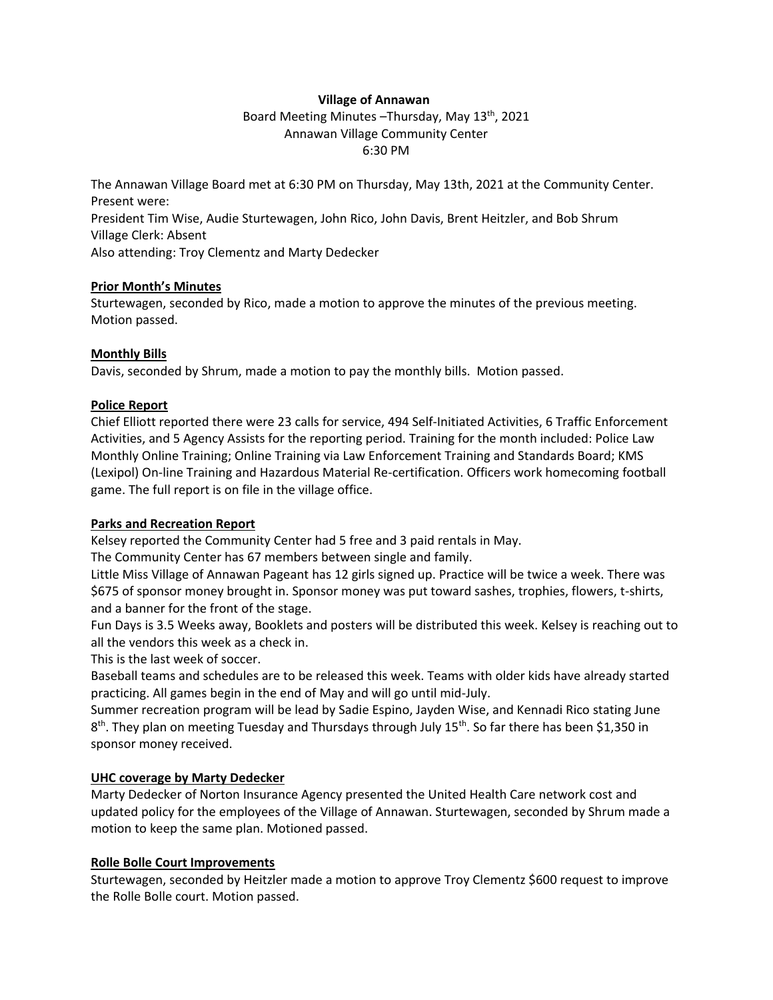# **Village of Annawan**

Board Meeting Minutes – Thursday, May 13<sup>th</sup>, 2021 Annawan Village Community Center 6:30 PM

The Annawan Village Board met at 6:30 PM on Thursday, May 13th, 2021 at the Community Center. Present were:

President Tim Wise, Audie Sturtewagen, John Rico, John Davis, Brent Heitzler, and Bob Shrum Village Clerk: Absent

Also attending: Troy Clementz and Marty Dedecker

## **Prior Month's Minutes**

Sturtewagen, seconded by Rico, made a motion to approve the minutes of the previous meeting. Motion passed.

# **Monthly Bills**

Davis, seconded by Shrum, made a motion to pay the monthly bills. Motion passed.

## **Police Report**

Chief Elliott reported there were 23 calls for service, 494 Self-Initiated Activities, 6 Traffic Enforcement Activities, and 5 Agency Assists for the reporting period. Training for the month included: Police Law Monthly Online Training; Online Training via Law Enforcement Training and Standards Board; KMS (Lexipol) On-line Training and Hazardous Material Re-certification. Officers work homecoming football game. The full report is on file in the village office.

# **Parks and Recreation Report**

Kelsey reported the Community Center had 5 free and 3 paid rentals in May.

The Community Center has 67 members between single and family.

Little Miss Village of Annawan Pageant has 12 girls signed up. Practice will be twice a week. There was \$675 of sponsor money brought in. Sponsor money was put toward sashes, trophies, flowers, t-shirts, and a banner for the front of the stage.

Fun Days is 3.5 Weeks away, Booklets and posters will be distributed this week. Kelsey is reaching out to all the vendors this week as a check in.

This is the last week of soccer.

Baseball teams and schedules are to be released this week. Teams with older kids have already started practicing. All games begin in the end of May and will go until mid-July.

Summer recreation program will be lead by Sadie Espino, Jayden Wise, and Kennadi Rico stating June 8<sup>th</sup>. They plan on meeting Tuesday and Thursdays through July 15<sup>th</sup>. So far there has been \$1,350 in sponsor money received.

# **UHC coverage by Marty Dedecker**

Marty Dedecker of Norton Insurance Agency presented the United Health Care network cost and updated policy for the employees of the Village of Annawan. Sturtewagen, seconded by Shrum made a motion to keep the same plan. Motioned passed.

#### **Rolle Bolle Court Improvements**

Sturtewagen, seconded by Heitzler made a motion to approve Troy Clementz \$600 request to improve the Rolle Bolle court. Motion passed.